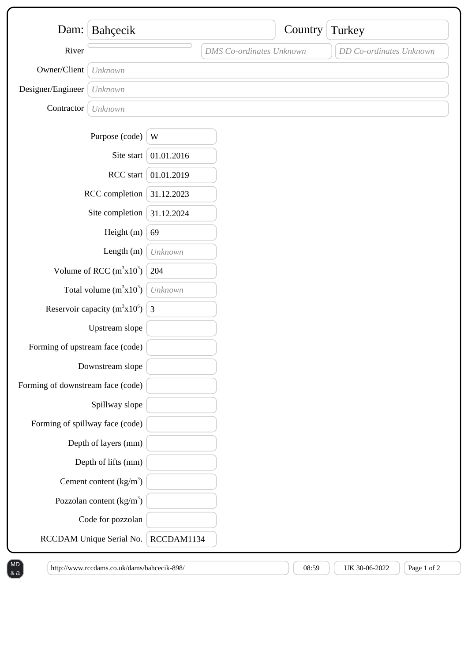|                                                         | Dam: Bahçecik              |            |                                 | Country | Turkey                  |
|---------------------------------------------------------|----------------------------|------------|---------------------------------|---------|-------------------------|
| River                                                   |                            |            | <b>DMS</b> Co-ordinates Unknown |         | DD Co-ordinates Unknown |
|                                                         |                            |            |                                 |         |                         |
| Owner/Client                                            | Unknown                    |            |                                 |         |                         |
| Designer/Engineer                                       | Unknown                    |            |                                 |         |                         |
| Contractor                                              | Unknown                    |            |                                 |         |                         |
|                                                         | Purpose (code)             | W          |                                 |         |                         |
|                                                         | Site start                 | 01.01.2016 |                                 |         |                         |
| RCC start                                               |                            | 01.01.2019 |                                 |         |                         |
| RCC completion                                          |                            | 31.12.2023 |                                 |         |                         |
| Site completion                                         |                            | 31.12.2024 |                                 |         |                         |
| Height (m)                                              |                            | 69         |                                 |         |                         |
| Length $(m)$                                            |                            | Unknown    |                                 |         |                         |
| Volume of RCC $(m^3x10^3)$                              |                            | 204        |                                 |         |                         |
| Total volume $(m^3x10^3)$                               |                            | Unknown    |                                 |         |                         |
| Reservoir capacity (m <sup>3</sup> x10 <sup>6</sup> ) 3 |                            |            |                                 |         |                         |
|                                                         | Upstream slope             |            |                                 |         |                         |
| Forming of upstream face (code)                         |                            |            |                                 |         |                         |
|                                                         | Downstream slope           |            |                                 |         |                         |
| Forming of downstream face (code)                       |                            |            |                                 |         |                         |
|                                                         | Spillway slope             |            |                                 |         |                         |
| Forming of spillway face (code)                         |                            |            |                                 |         |                         |
|                                                         | Depth of layers (mm)       |            |                                 |         |                         |
|                                                         | Depth of lifts (mm)        |            |                                 |         |                         |
|                                                         | Cement content $(kg/m3)$   |            |                                 |         |                         |
|                                                         | Pozzolan content $(kg/m3)$ |            |                                 |         |                         |
|                                                         | Code for pozzolan          |            |                                 |         |                         |
|                                                         | RCCDAM Unique Serial No.   | RCCDAM1134 |                                 |         |                         |

 $[$  http://www.rccdams.co.uk/dams/bahcecik-898/  $]$   $[$  08:59  $]$   $[$  UK 30-06-2022  $]$   $[$  Page 1 of 2

 $\left(\begin{smallmatrix} 8 & a \end{smallmatrix}\right)$